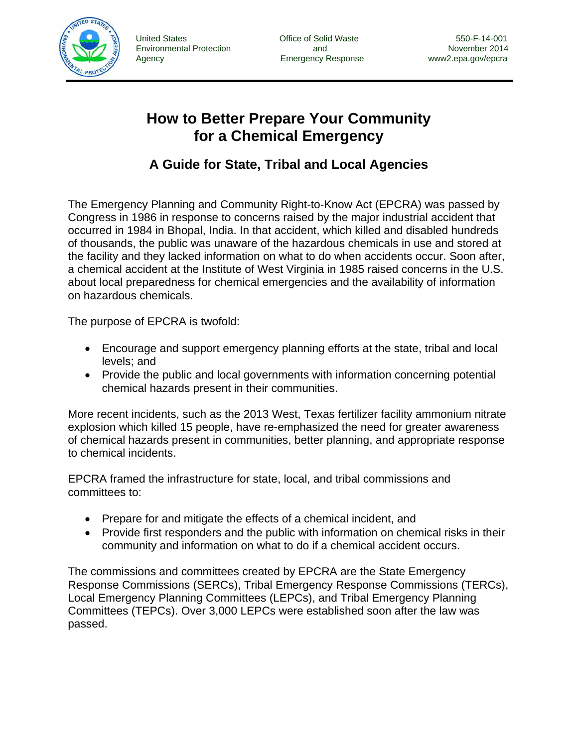

 United States Office of Solid Waste 550-F-14-001 Environmental Protection and November 2014

# **How to Better Prepare Your Community for a Chemical Emergency**

# **A Guide for State, Tribal and Local Agencies**

The Emergency Planning and Community Right-to-Know Act (EPCRA) was passed by Congress in 1986 in response to concerns raised by the major industrial accident that occurred in 1984 in Bhopal, India. In that accident, which killed and disabled hundreds of thousands, the public was unaware of the hazardous chemicals in use and stored at the facility and they lacked information on what to do when accidents occur. Soon after, a chemical accident at the Institute of West Virginia in 1985 raised concerns in the U.S. about local preparedness for chemical emergencies and the availability of information on hazardous chemicals.

The purpose of EPCRA is twofold:

- Encourage and support emergency planning efforts at the state, tribal and local levels; and
- Provide the public and local governments with information concerning potential chemical hazards present in their communities.

More recent incidents, such as the 2013 West, Texas fertilizer facility ammonium nitrate explosion which killed 15 people, have re-emphasized the need for greater awareness of chemical hazards present in communities, better planning, and appropriate response to chemical incidents.

EPCRA framed the infrastructure for state, local, and tribal commissions and committees to:

- Prepare for and mitigate the effects of a chemical incident, and
- Provide first responders and the public with information on chemical risks in their community and information on what to do if a chemical accident occurs.

The commissions and committees created by EPCRA are the State Emergency Response Commissions (SERCs), Tribal Emergency Response Commissions (TERCs), Local Emergency Planning Committees (LEPCs), and Tribal Emergency Planning Committees (TEPCs). Over 3,000 LEPCs were established soon after the law was passed.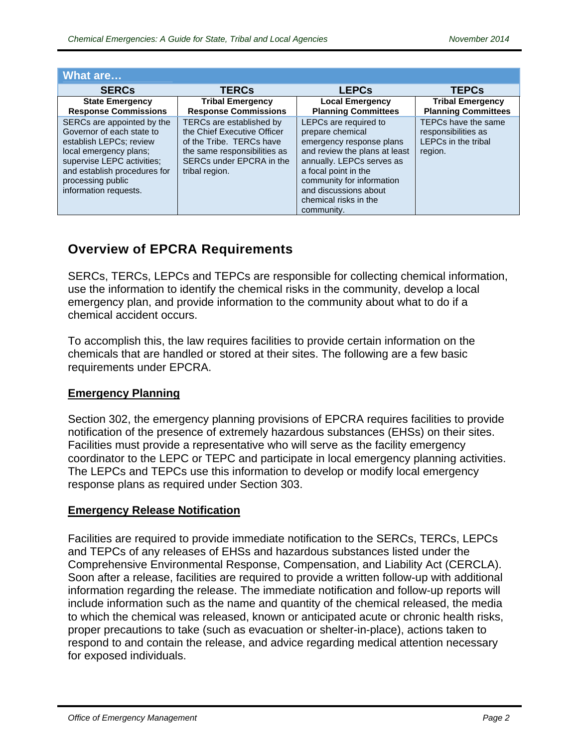| What are                                                                                                                                                                                                                 |                                                                                                                                                                   |                                                                                                                                                                                                                                                          |                                                                                     |
|--------------------------------------------------------------------------------------------------------------------------------------------------------------------------------------------------------------------------|-------------------------------------------------------------------------------------------------------------------------------------------------------------------|----------------------------------------------------------------------------------------------------------------------------------------------------------------------------------------------------------------------------------------------------------|-------------------------------------------------------------------------------------|
| <b>SERCs</b>                                                                                                                                                                                                             | <b>TERCs</b>                                                                                                                                                      | <b>LEPCs</b>                                                                                                                                                                                                                                             | <b>TEPCs</b>                                                                        |
| <b>State Emergency</b><br><b>Response Commissions</b>                                                                                                                                                                    | <b>Tribal Emergency</b><br><b>Response Commissions</b>                                                                                                            | <b>Local Emergency</b><br><b>Planning Committees</b>                                                                                                                                                                                                     | <b>Tribal Emergency</b><br><b>Planning Committees</b>                               |
| SERCs are appointed by the<br>Governor of each state to<br>establish LEPCs; review<br>local emergency plans;<br>supervise LEPC activities;<br>and establish procedures for<br>processing public<br>information requests. | TERCs are established by<br>the Chief Executive Officer<br>of the Tribe. TERCs have<br>the same responsibilities as<br>SERCs under EPCRA in the<br>tribal region. | LEPCs are required to<br>prepare chemical<br>emergency response plans<br>and review the plans at least<br>annually. LEPCs serves as<br>a focal point in the<br>community for information<br>and discussions about<br>chemical risks in the<br>community. | TEPCs have the same<br>responsibilities as<br><b>LEPCs in the tribal</b><br>region. |

# **Overview of EPCRA Requirements**

SERCs, TERCs, LEPCs and TEPCs are responsible for collecting chemical information, use the information to identify the chemical risks in the community, develop a local emergency plan, and provide information to the community about what to do if a chemical accident occurs.

To accomplish this, the law requires facilities to provide certain information on the chemicals that are handled or stored at their sites. The following are a few basic requirements under EPCRA.

#### **Emergency Planning**

Section 302, the emergency planning provisions of EPCRA requires facilities to provide notification of the presence of extremely hazardous substances (EHSs) on their sites. Facilities must provide a representative who will serve as the facility emergency coordinator to the LEPC or TEPC and participate in local emergency planning activities. The LEPCs and TEPCs use this information to develop or modify local emergency response plans as required under Section 303.

#### **Emergency Release Notification**

Facilities are required to provide immediate notification to the SERCs, TERCs, LEPCs and TEPCs of any releases of EHSs and hazardous substances listed under the Comprehensive Environmental Response, Compensation, and Liability Act (CERCLA). Soon after a release, facilities are required to provide a written follow-up with additional information regarding the release. The immediate notification and follow-up reports will include information such as the name and quantity of the chemical released, the media to which the chemical was released, known or anticipated acute or chronic health risks, proper precautions to take (such as evacuation or shelter-in-place), actions taken to respond to and contain the release, and advice regarding medical attention necessary for exposed individuals.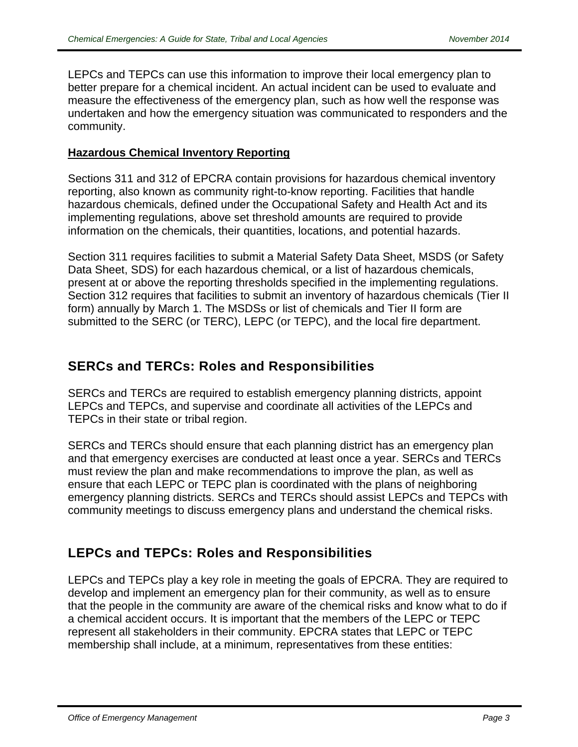LEPCs and TEPCs can use this information to improve their local emergency plan to better prepare for a chemical incident. An actual incident can be used to evaluate and measure the effectiveness of the emergency plan, such as how well the response was undertaken and how the emergency situation was communicated to responders and the community.

#### **Hazardous Chemical Inventory Reporting**

Sections 311 and 312 of EPCRA contain provisions for hazardous chemical inventory reporting, also known as community right-to-know reporting. Facilities that handle hazardous chemicals, defined under the Occupational Safety and Health Act and its implementing regulations, above set threshold amounts are required to provide information on the chemicals, their quantities, locations, and potential hazards.

Section 311 requires facilities to submit a Material Safety Data Sheet, MSDS (or Safety Data Sheet, SDS) for each hazardous chemical, or a list of hazardous chemicals, present at or above the reporting thresholds specified in the implementing regulations. Section 312 requires that facilities to submit an inventory of hazardous chemicals (Tier II form) annually by March 1. The MSDSs or list of chemicals and Tier II form are submitted to the SERC (or TERC), LEPC (or TEPC), and the local fire department.

### **SERCs and TERCs: Roles and Responsibilities**

SERCs and TERCs are required to establish emergency planning districts, appoint LEPCs and TEPCs, and supervise and coordinate all activities of the LEPCs and TEPCs in their state or tribal region.

SERCs and TERCs should ensure that each planning district has an emergency plan and that emergency exercises are conducted at least once a year. SERCs and TERCs must review the plan and make recommendations to improve the plan, as well as ensure that each LEPC or TEPC plan is coordinated with the plans of neighboring emergency planning districts. SERCs and TERCs should assist LEPCs and TEPCs with community meetings to discuss emergency plans and understand the chemical risks.

### **LEPCs and TEPCs: Roles and Responsibilities**

LEPCs and TEPCs play a key role in meeting the goals of EPCRA. They are required to develop and implement an emergency plan for their community, as well as to ensure that the people in the community are aware of the chemical risks and know what to do if a chemical accident occurs. It is important that the members of the LEPC or TEPC represent all stakeholders in their community. EPCRA states that LEPC or TEPC membership shall include, at a minimum, representatives from these entities: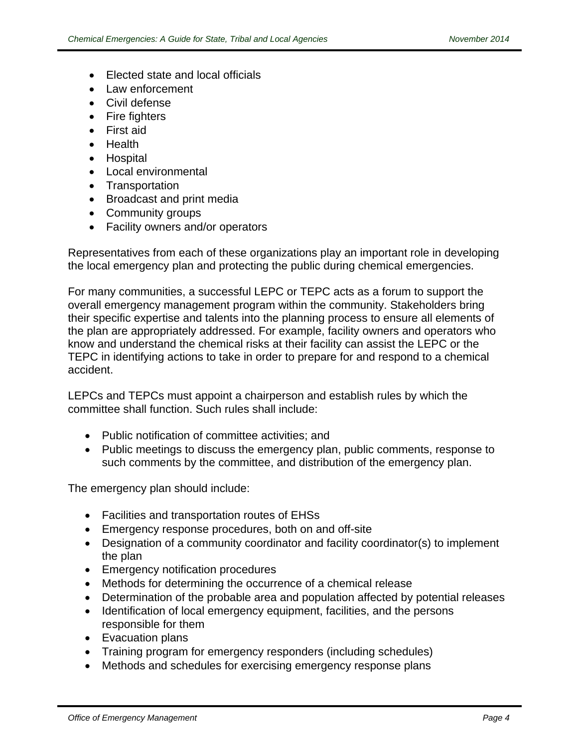- Elected state and local officials
- Law enforcement
- Civil defense
- Fire fighters
- First aid
- Health
- Hospital
- Local environmental
- Transportation
- Broadcast and print media
- Community groups
- Facility owners and/or operators

Representatives from each of these organizations play an important role in developing the local emergency plan and protecting the public during chemical emergencies.

For many communities, a successful LEPC or TEPC acts as a forum to support the overall emergency management program within the community. Stakeholders bring their specific expertise and talents into the planning process to ensure all elements of the plan are appropriately addressed. For example, facility owners and operators who know and understand the chemical risks at their facility can assist the LEPC or the TEPC in identifying actions to take in order to prepare for and respond to a chemical accident.

LEPCs and TEPCs must appoint a chairperson and establish rules by which the committee shall function. Such rules shall include:

- Public notification of committee activities; and
- Public meetings to discuss the emergency plan, public comments, response to such comments by the committee, and distribution of the emergency plan.

The emergency plan should include:

- Facilities and transportation routes of EHSs
- Emergency response procedures, both on and off-site
- Designation of a community coordinator and facility coordinator(s) to implement the plan
- Emergency notification procedures
- Methods for determining the occurrence of a chemical release
- Determination of the probable area and population affected by potential releases
- Identification of local emergency equipment, facilities, and the persons responsible for them
- Evacuation plans
- Training program for emergency responders (including schedules)
- Methods and schedules for exercising emergency response plans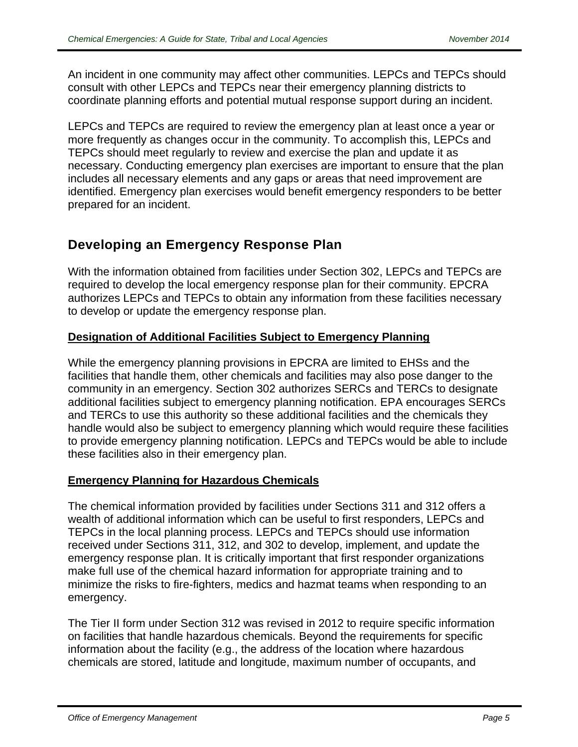An incident in one community may affect other communities. LEPCs and TEPCs should consult with other LEPCs and TEPCs near their emergency planning districts to coordinate planning efforts and potential mutual response support during an incident.

LEPCs and TEPCs are required to review the emergency plan at least once a year or more frequently as changes occur in the community. To accomplish this, LEPCs and TEPCs should meet regularly to review and exercise the plan and update it as necessary. Conducting emergency plan exercises are important to ensure that the plan includes all necessary elements and any gaps or areas that need improvement are identified. Emergency plan exercises would benefit emergency responders to be better prepared for an incident.

## **Developing an Emergency Response Plan**

With the information obtained from facilities under Section 302, LEPCs and TEPCs are required to develop the local emergency response plan for their community. EPCRA authorizes LEPCs and TEPCs to obtain any information from these facilities necessary to develop or update the emergency response plan.

#### **Designation of Additional Facilities Subject to Emergency Planning**

While the emergency planning provisions in EPCRA are limited to EHSs and the facilities that handle them, other chemicals and facilities may also pose danger to the community in an emergency. Section 302 authorizes SERCs and TERCs to designate additional facilities subject to emergency planning notification. EPA encourages SERCs and TERCs to use this authority so these additional facilities and the chemicals they handle would also be subject to emergency planning which would require these facilities to provide emergency planning notification. LEPCs and TEPCs would be able to include these facilities also in their emergency plan.

#### **Emergency Planning for Hazardous Chemicals**

The chemical information provided by facilities under Sections 311 and 312 offers a wealth of additional information which can be useful to first responders, LEPCs and TEPCs in the local planning process. LEPCs and TEPCs should use information received under Sections 311, 312, and 302 to develop, implement, and update the emergency response plan. It is critically important that first responder organizations make full use of the chemical hazard information for appropriate training and to minimize the risks to fire-fighters, medics and hazmat teams when responding to an emergency.

The Tier II form under Section 312 was revised in 2012 to require specific information on facilities that handle hazardous chemicals. Beyond the requirements for specific information about the facility (e.g., the address of the location where hazardous chemicals are stored, latitude and longitude, maximum number of occupants, and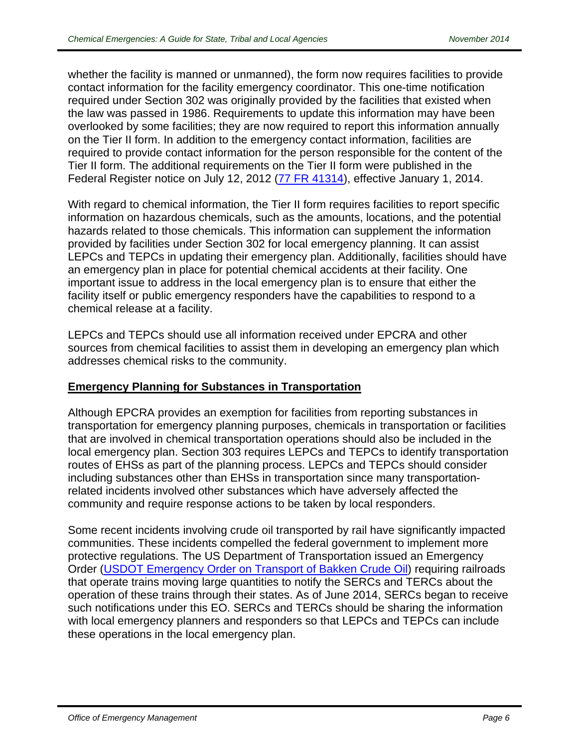whether the facility is manned or unmanned), the form now requires facilities to provide contact information for the facility emergency coordinator. This one-time notification required under Section 302 was originally provided by the facilities that existed when the law was passed in 1986. Requirements to update this information may have been overlooked by some facilities; they are now required to report this information annually on the Tier II form. In addition to the emergency contact information, facilities are required to provide contact information for the person responsible for the content of the Tier II form. The additional requirements on the Tier II form were published in the Federal Register notice on July 12, 2012 (77 FR 41314), effective January 1, 2014.

With regard to chemical information, the Tier II form requires facilities to report specific information on hazardous chemicals, such as the amounts, locations, and the potential hazards related to those chemicals. This information can supplement the information provided by facilities under Section 302 for local emergency planning. It can assist LEPCs and TEPCs in updating their emergency plan. Additionally, facilities should have an emergency plan in place for potential chemical accidents at their facility. One important issue to address in the local emergency plan is to ensure that either the facility itself or public emergency responders have the capabilities to respond to a chemical release at a facility.

LEPCs and TEPCs should use all information received under EPCRA and other sources from chemical facilities to assist them in developing an emergency plan which addresses chemical risks to the community.

#### **Emergency Planning for Substances in Transportation**

Although EPCRA provides an exemption for facilities from reporting substances in transportation for emergency planning purposes, chemicals in transportation or facilities that are involved in chemical transportation operations should also be included in the local emergency plan. Section 303 requires LEPCs and TEPCs to identify transportation routes of EHSs as part of the planning process. LEPCs and TEPCs should consider including substances other than EHSs in transportation since many transportationrelated incidents involved other substances which have adversely affected the community and require response actions to be taken by local responders.

Some recent incidents involving crude oil transported by rail have significantly impacted communities. These incidents compelled the federal government to implement more protective regulations. The US Department of Transportation issued an Emergency Order (USDOT Emergency Order on Transport of Bakken Crude Oil) requiring railroads that operate trains moving large quantities to notify the SERCs and TERCs about the operation of these trains through their states. As of June 2014, SERCs began to receive such notifications under this EO. SERCs and TERCs should be sharing the information with local emergency planners and responders so that LEPCs and TEPCs can include these operations in the local emergency plan.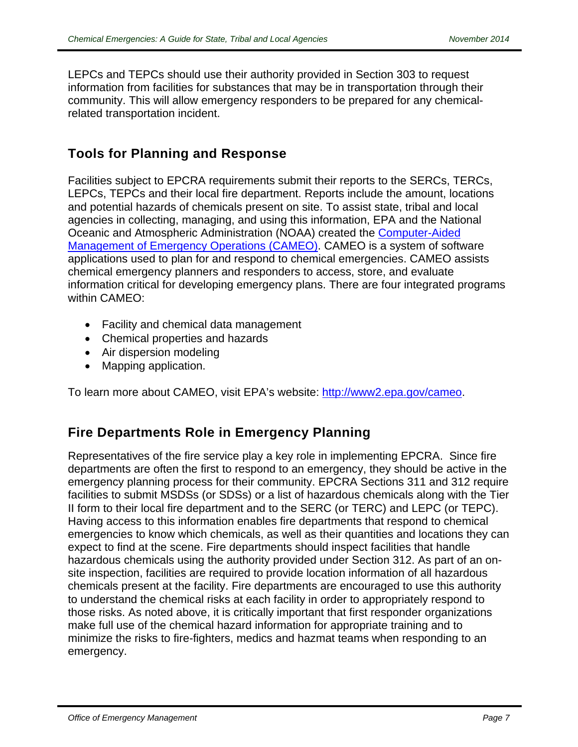LEPCs and TEPCs should use their authority provided in Section 303 to request information from facilities for substances that may be in transportation through their community. This will allow emergency responders to be prepared for any chemicalrelated transportation incident.

### **Tools for Planning and Response**

Facilities subject to EPCRA requirements submit their reports to the SERCs, TERCs, LEPCs, TEPCs and their local fire department. Reports include the amount, locations and potential hazards of chemicals present on site. To assist state, tribal and local agencies in collecting, managing, and using this information, EPA and the National Oceanic and Atmospheric Administration (NOAA) created the Computer-Aided Management of Emergency Operations (CAMEO). CAMEO is a system of software applications used to plan for and respond to chemical emergencies. CAMEO assists chemical emergency planners and responders to access, store, and evaluate information critical for developing emergency plans. There are four integrated programs within CAMEO:

- Facility and chemical data management
- Chemical properties and hazards
- Air dispersion modeling
- Mapping application.

To learn more about CAMEO, visit EPA's website: http://www2.epa.gov/cameo.

## **Fire Departments Role in Emergency Planning**

Representatives of the fire service play a key role in implementing EPCRA. Since fire departments are often the first to respond to an emergency, they should be active in the emergency planning process for their community. EPCRA Sections 311 and 312 require facilities to submit MSDSs (or SDSs) or a list of hazardous chemicals along with the Tier II form to their local fire department and to the SERC (or TERC) and LEPC (or TEPC). Having access to this information enables fire departments that respond to chemical emergencies to know which chemicals, as well as their quantities and locations they can expect to find at the scene. Fire departments should inspect facilities that handle hazardous chemicals using the authority provided under Section 312. As part of an onsite inspection, facilities are required to provide location information of all hazardous chemicals present at the facility. Fire departments are encouraged to use this authority to understand the chemical risks at each facility in order to appropriately respond to those risks. As noted above, it is critically important that first responder organizations make full use of the chemical hazard information for appropriate training and to minimize the risks to fire-fighters, medics and hazmat teams when responding to an emergency.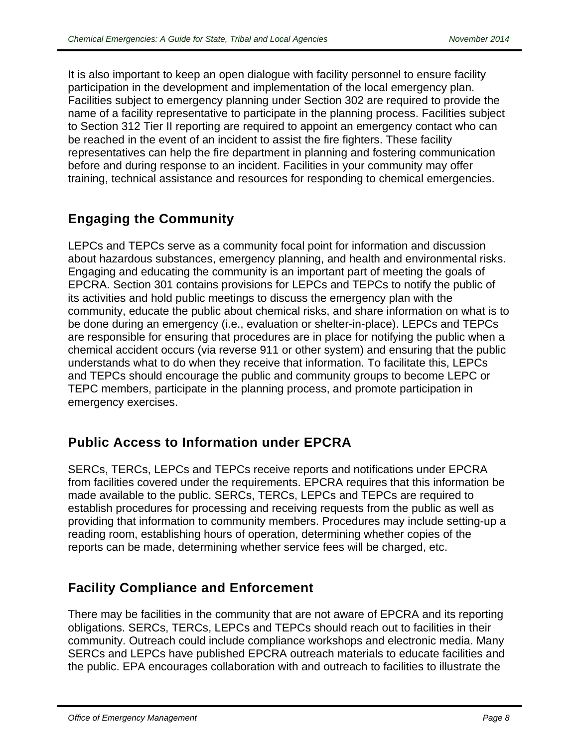It is also important to keep an open dialogue with facility personnel to ensure facility participation in the development and implementation of the local emergency plan. Facilities subject to emergency planning under Section 302 are required to provide the name of a facility representative to participate in the planning process. Facilities subject to Section 312 Tier II reporting are required to appoint an emergency contact who can be reached in the event of an incident to assist the fire fighters. These facility representatives can help the fire department in planning and fostering communication before and during response to an incident. Facilities in your community may offer training, technical assistance and resources for responding to chemical emergencies.

# **Engaging the Community**

LEPCs and TEPCs serve as a community focal point for information and discussion about hazardous substances, emergency planning, and health and environmental risks. Engaging and educating the community is an important part of meeting the goals of EPCRA. Section 301 contains provisions for LEPCs and TEPCs to notify the public of its activities and hold public meetings to discuss the emergency plan with the community, educate the public about chemical risks, and share information on what is to be done during an emergency (i.e., evaluation or shelter-in-place). LEPCs and TEPCs are responsible for ensuring that procedures are in place for notifying the public when a chemical accident occurs (via reverse 911 or other system) and ensuring that the public understands what to do when they receive that information. To facilitate this, LEPCs and TEPCs should encourage the public and community groups to become LEPC or TEPC members, participate in the planning process, and promote participation in emergency exercises.

## **Public Access to Information under EPCRA**

SERCs, TERCs, LEPCs and TEPCs receive reports and notifications under EPCRA from facilities covered under the requirements. EPCRA requires that this information be made available to the public. SERCs, TERCs, LEPCs and TEPCs are required to establish procedures for processing and receiving requests from the public as well as providing that information to community members. Procedures may include setting-up a reading room, establishing hours of operation, determining whether copies of the reports can be made, determining whether service fees will be charged, etc.

## **Facility Compliance and Enforcement**

There may be facilities in the community that are not aware of EPCRA and its reporting obligations. SERCs, TERCs, LEPCs and TEPCs should reach out to facilities in their community. Outreach could include compliance workshops and electronic media. Many SERCs and LEPCs have published EPCRA outreach materials to educate facilities and the public. EPA encourages collaboration with and outreach to facilities to illustrate the